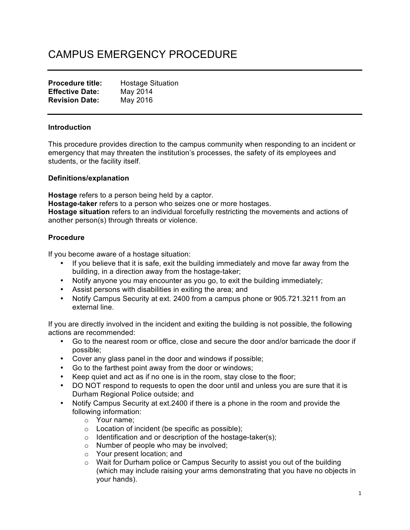# CAMPUS EMERGENCY PROCEDURE

| <b>Procedure title:</b> | <b>Hostage Situation</b> |
|-------------------------|--------------------------|
| <b>Effective Date:</b>  | May 2014                 |
| <b>Revision Date:</b>   | May 2016                 |

## **Introduction**

This procedure provides direction to the campus community when responding to an incident or emergency that may threaten the institution's processes, the safety of its employees and students, or the facility itself.

## **Definitions/explanation**

**Hostage** refers to a person being held by a captor. **Hostage-taker** refers to a person who seizes one or more hostages. **Hostage situation** refers to an individual forcefully restricting the movements and actions of another person(s) through threats or violence.

## **Procedure**

If you become aware of a hostage situation:

- If you believe that it is safe, exit the building immediately and move far away from the building, in a direction away from the hostage-taker;
- Notify anyone you may encounter as you go, to exit the building immediately;
- Assist persons with disabilities in exiting the area; and
- Notify Campus Security at ext. 2400 from a campus phone or 905.721.3211 from an external line.

If you are directly involved in the incident and exiting the building is not possible, the following actions are recommended:

- Go to the nearest room or office, close and secure the door and/or barricade the door if possible;
- Cover any glass panel in the door and windows if possible;
- Go to the farthest point away from the door or windows;
- Keep quiet and act as if no one is in the room, stay close to the floor;
- DO NOT respond to requests to open the door until and unless you are sure that it is Durham Regional Police outside; and
- Notify Campus Security at ext.2400 if there is a phone in the room and provide the following information:
	- o Your name;
	- o Location of incident (be specific as possible);
	- $\circ$  Identification and or description of the hostage-taker(s);
	- o Number of people who may be involved;
	- o Your present location; and
	- $\circ$  Wait for Durham police or Campus Security to assist you out of the building (which may include raising your arms demonstrating that you have no objects in your hands).